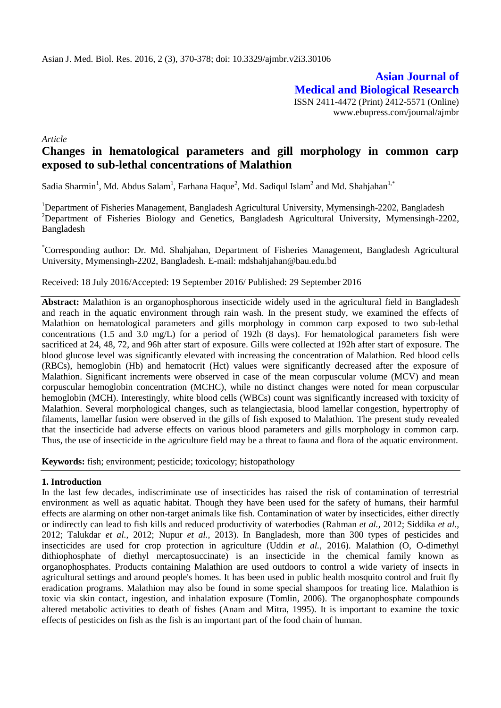**Asian Journal of Medical and Biological Research** ISSN 2411-4472 (Print) 2412-5571 (Online) www.ebupress.com/journal/ajmbr

*Article*

# **Changes in hematological parameters and gill morphology in common carp exposed to sub-lethal concentrations of Malathion**

Sadia Sharmin<sup>1</sup>, Md. Abdus Salam<sup>1</sup>, Farhana Haque<sup>2</sup>, Md. Sadiqul Islam<sup>2</sup> and Md. Shahjahan<sup>1,\*</sup>

<sup>1</sup>Department of Fisheries Management, Bangladesh Agricultural University, Mymensingh-2202, Bangladesh <sup>2</sup>Department of Fisheries Biology and Genetics, Bangladesh Agricultural University, Mymensingh-2202, Bangladesh

\*Corresponding author: Dr. Md. Shahjahan, Department of Fisheries Management, Bangladesh Agricultural University, Mymensingh-2202, Bangladesh. E-mail: [mdshahjahan@bau.edu.bd](mailto:mdshahjahan@bau.edu.bd)

Received: 18 July 2016/Accepted: 19 September 2016/ Published: 29 September 2016

**Abstract:** Malathion is an organophosphorous insecticide widely used in the agricultural field in Bangladesh and reach in the aquatic environment through rain wash. In the present study, we examined the effects of Malathion on hematological parameters and gills morphology in common carp exposed to two sub-lethal concentrations (1.5 and 3.0 mg/L) for a period of 192h (8 days). For hematological parameters fish were sacrificed at 24, 48, 72, and 96h after start of exposure. Gills were collected at 192h after start of exposure. The blood glucose level was significantly elevated with increasing the concentration of Malathion. Red blood cells (RBCs), hemoglobin (Hb) and hematocrit (Hct) values were significantly decreased after the exposure of Malathion. Significant increments were observed in case of the mean corpuscular volume (MCV) and mean corpuscular hemoglobin concentration (MCHC), while no distinct changes were noted for mean corpuscular hemoglobin (MCH). Interestingly, white blood cells (WBCs) count was significantly increased with toxicity of Malathion. Several morphological changes, such as telangiectasia, blood lamellar congestion, hypertrophy of filaments, lamellar fusion were observed in the gills of fish exposed to Malathion. The present study revealed that the insecticide had adverse effects on various blood parameters and gills morphology in common carp. Thus, the use of insecticide in the agriculture field may be a threat to fauna and flora of the aquatic environment.

**Keywords:** fish; environment; pesticide; toxicology; histopathology

#### **1. Introduction**

In the last few decades, indiscriminate use of insecticides has raised the risk of contamination of terrestrial environment as well as aquatic habitat. Though they have been used for the safety of humans, their harmful effects are alarming on other non-target animals like fish. Contamination of water by insecticides, either directly or indirectly can lead to fish kills and reduced productivity of waterbodies (Rahman *et al.,* 2012; Siddika *et al.,* 2012; Talukdar *et al.,* 2012; Nupur *et al.,* 2013). In Bangladesh, more than 300 types of pesticides and insecticides are used for crop protection in agriculture (Uddin *et al.,* 2016). Malathion (O, O-dimethyl dithiophosphate of diethyl mercaptosuccinate) is an insecticide in the chemical family known as organophosphates. Products containing Malathion are used outdoors to control a wide variety of insects in agricultural settings and around people's homes. It has been used in public health mosquito control and fruit fly eradication programs. Malathion may also be found in some special shampoos for treating lice. Malathion is toxic via skin contact, ingestion, and inhalation exposure (Tomlin, 2006). The organophosphate compounds altered metabolic activities to death of fishes (Anam and Mitra, 1995). It is important to examine the toxic effects of pesticides on fish as the fish is an important part of the food chain of human.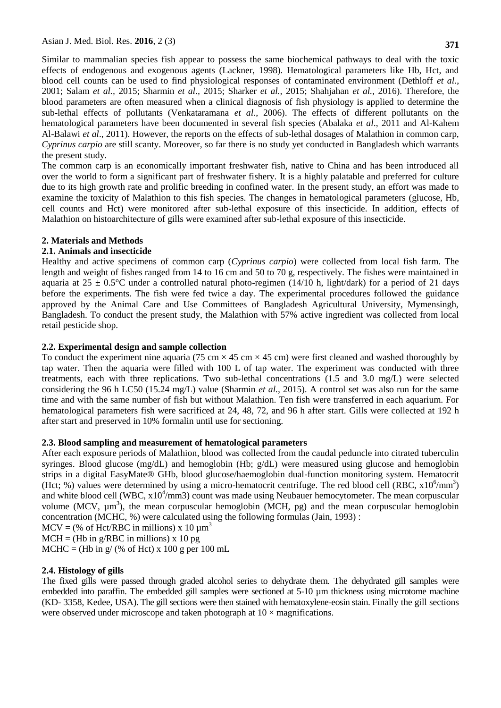Similar to mammalian species fish appear to possess the same biochemical pathways to deal with the toxic effects of endogenous and exogenous agents (Lackner, 1998). Hematological parameters like Hb, Hct, and blood cell counts can be used to find physiological responses of contaminated environment (Dethloff *et al*., 2001; Salam *et al.,* 2015; Sharmin *et al.,* 2015; Sharker *et al.,* 2015; Shahjahan *et al.,* 2016). Therefore, the blood parameters are often measured when a clinical diagnosis of fish physiology is applied to determine the sub-lethal effects of pollutants (Venkataramana *et al*., 2006). The effects of different pollutants on the hematological parameters have been documented in several fish species (Abalaka *et al*., 2011 and Al-Kahem Al-Balawi *et al*., 2011). However, the reports on the effects of sub-lethal dosages of Malathion in common carp, *Cyprinus carpio* are still scanty. Moreover, so far there is no study yet conducted in Bangladesh which warrants the present study.

The common carp is an economically important freshwater fish, native to China and has been introduced all over the world to form a significant part of freshwater fishery. It is a highly palatable and preferred for culture due to its high growth rate and prolific breeding in confined water. In the present study, an effort was made to examine the toxicity of Malathion to this fish species. The changes in hematological parameters (glucose, Hb, cell counts and Hct) were monitored after sub-lethal exposure of this insecticide. In addition, effects of Malathion on histoarchitecture of gills were examined after sub-lethal exposure of this insecticide.

### **2. Materials and Methods**

### **2.1. Animals and insecticide**

Healthy and active specimens of common carp (*Cyprinus carpio*) were collected from local fish farm. The length and weight of fishes ranged from 14 to 16 cm and 50 to 70 g, respectively. The fishes were maintained in aquaria at 25  $\pm$  0.5°C under a controlled natural photo-regimen (14/10 h, light/dark) for a period of 21 days before the experiments. The fish were fed twice a day. The experimental procedures followed the guidance approved by the Animal Care and Use Committees of Bangladesh Agricultural University, Mymensingh, Bangladesh. To conduct the present study, the Malathion with 57% active ingredient was collected from local retail pesticide shop.

### **2.2. Experimental design and sample collection**

To conduct the experiment nine aquaria (75 cm  $\times$  45 cm  $\times$  45 cm) were first cleaned and washed thoroughly by tap water. Then the aquaria were filled with 100 L of tap water. The experiment was conducted with three treatments, each with three replications. Two sub-lethal concentrations (1.5 and 3.0 mg/L) were selected considering the 96 h LC50 (15.24 mg/L) value (Sharmin *et al.,* 2015). A control set was also run for the same time and with the same number of fish but without Malathion. Ten fish were transferred in each aquarium. For hematological parameters fish were sacrificed at 24, 48, 72, and 96 h after start. Gills were collected at 192 h after start and preserved in 10% formalin until use for sectioning.

#### **2.3. Blood sampling and measurement of hematological parameters**

After each exposure periods of Malathion, blood was collected from the caudal peduncle into citrated tuberculin syringes. Blood glucose (mg/dL) and hemoglobin (Hb; g/dL) were measured using glucose and hemoglobin strips in a digital EasyMate® GHb, blood glucose/haemoglobin dual-function monitoring system. Hematocrit (Hct; %) values were determined by using a micro-hematocrit centrifuge. The red blood cell (RBC,  $x10^6/\text{mm}^3$ ) and white blood cell (WBC,  $x10^4/\text{mm}$ 3) count was made using Neubauer hemocytometer. The mean corpuscular volume (MCV,  $\mu$ m<sup>3</sup>), the mean corpuscular hemoglobin (MCH, pg) and the mean corpuscular hemoglobin concentration (MCHC, %) were calculated using the following formulas (Jain, 1993) :

 $MCV = % of Hct/RBC in millions) x 10  $\mu$ m<sup>3</sup>$ 

 $MCH = (Hb in g/RBC in millions) x 10 pg$ 

 $MCHC = (Hb in g/(% of Hct) x 100 g per 100 mL)$ 

#### **2.4. Histology of gills**

The fixed gills were passed through graded alcohol series to dehydrate them. The dehydrated gill samples were embedded into paraffin. The embedded gill samples were sectioned at 5-10  $\mu$ m thickness using microtome machine (KD- 3358, Kedee, USA). The gill sections were then stained with hematoxylene-eosin stain. Finally the gill sections were observed under microscope and taken photograph at  $10 \times$  magnifications.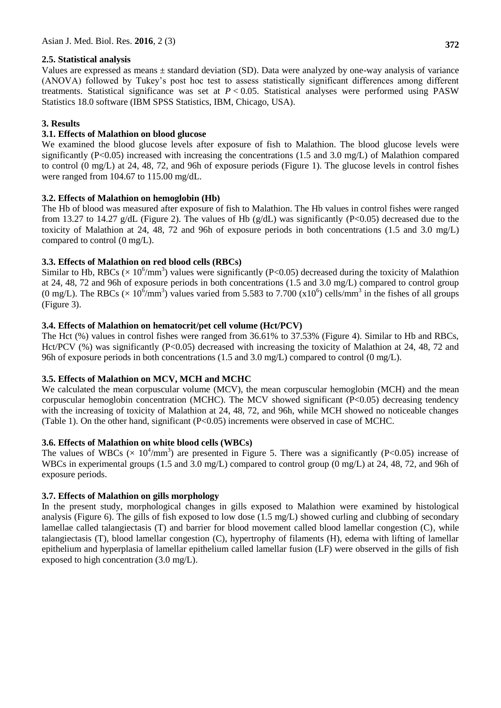### **2.5. Statistical analysis**

Values are expressed as means ± standard deviation (SD). Data were analyzed by one-way analysis of variance (ANOVA) followed by Tukey's post hoc test to assess statistically significant differences among different treatments. Statistical significance was set at *P* < 0.05. Statistical analyses were performed using PASW Statistics 18.0 software (IBM SPSS Statistics, IBM, Chicago, USA).

## **3. Results**

## **3.1. Effects of Malathion on blood glucose**

We examined the blood glucose levels after exposure of fish to Malathion. The blood glucose levels were significantly (P<0.05) increased with increasing the concentrations (1.5 and 3.0 mg/L) of Malathion compared to control (0 mg/L) at 24, 48, 72, and 96h of exposure periods (Figure 1). The glucose levels in control fishes were ranged from 104.67 to 115.00 mg/dL.

### **3.2. Effects of Malathion on hemoglobin (Hb)**

The Hb of blood was measured after exposure of fish to Malathion. The Hb values in control fishes were ranged from 13.27 to 14.27 g/dL (Figure 2). The values of Hb (g/dL) was significantly (P<0.05) decreased due to the toxicity of Malathion at 24, 48, 72 and 96h of exposure periods in both concentrations (1.5 and 3.0 mg/L) compared to control (0 mg/L).

# **3.3. Effects of Malathion on red blood cells (RBCs)**

Similar to Hb, RBCs ( $\times$  10<sup>6</sup>/mm<sup>3</sup>) values were significantly (P<0.05) decreased during the toxicity of Malathion at 24, 48, 72 and 96h of exposure periods in both concentrations (1.5 and 3.0 mg/L) compared to control group (0 mg/L). The RBCs ( $\times$  10<sup>6</sup>/mm<sup>3</sup>) values varied from 5.583 to 7.700 (x10<sup>6</sup>) cells/mm<sup>3</sup> in the fishes of all groups (Figure 3).

### **3.4. Effects of Malathion on hematocrit/pet cell volume (Hct/PCV)**

The Hct (%) values in control fishes were ranged from 36.61% to 37.53% (Figure 4). Similar to Hb and RBCs, Hct/PCV (%) was significantly (P<0.05) decreased with increasing the toxicity of Malathion at 24, 48, 72 and 96h of exposure periods in both concentrations (1.5 and 3.0 mg/L) compared to control (0 mg/L).

# **3.5. Effects of Malathion on MCV, MCH and MCHC**

We calculated the mean corpuscular volume (MCV), the mean corpuscular hemoglobin (MCH) and the mean corpuscular hemoglobin concentration (MCHC). The MCV showed significant (P<0.05) decreasing tendency with the increasing of toxicity of Malathion at 24, 48, 72, and 96h, while MCH showed no noticeable changes (Table 1). On the other hand, significant  $(P<0.05)$  increments were observed in case of MCHC.

#### **3.6. Effects of Malathion on white blood cells (WBCs)**

The values of WBCs ( $\times$  10<sup>4</sup>/mm<sup>3</sup>) are presented in Figure 5. There was a significantly (P<0.05) increase of WBCs in experimental groups (1.5 and 3.0 mg/L) compared to control group (0 mg/L) at 24, 48, 72, and 96h of exposure periods.

# **3.7. Effects of Malathion on gills morphology**

In the present study, morphological changes in gills exposed to Malathion were examined by histological analysis (Figure 6). The gills of fish exposed to low dose (1.5 mg/L) showed curling and clubbing of secondary lamellae called talangiectasis (T) and barrier for blood movement called blood lamellar congestion (C), while talangiectasis (T), blood lamellar congestion (C), hypertrophy of filaments (H), edema with lifting of lamellar epithelium and hyperplasia of lamellar epithelium called lamellar fusion (LF) were observed in the gills of fish exposed to high concentration (3.0 mg/L).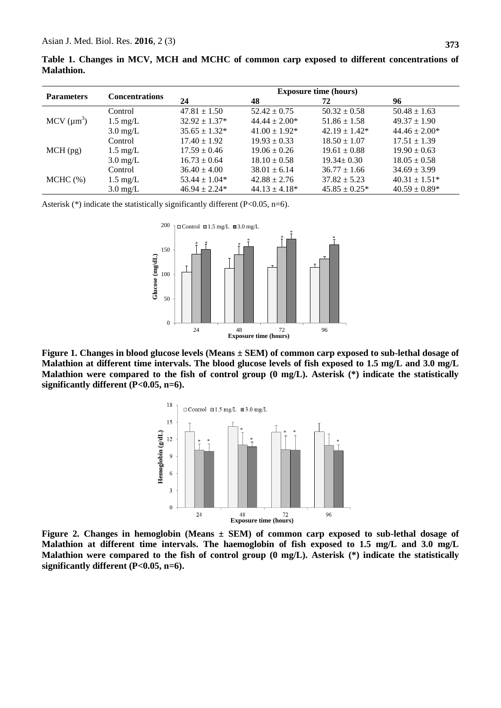|                   |  |  |  |  |  | Table 1. Changes in MCV, MCH and MCHC of common carp exposed to different concentrations of |  |  |
|-------------------|--|--|--|--|--|---------------------------------------------------------------------------------------------|--|--|
| <b>Malathion.</b> |  |  |  |  |  |                                                                                             |  |  |

|                                |                       | <b>Exposure time (hours)</b> |                    |                    |                    |  |  |  |  |
|--------------------------------|-----------------------|------------------------------|--------------------|--------------------|--------------------|--|--|--|--|
| <b>Parameters</b>              | <b>Concentrations</b> | 24                           | 48                 | 72                 | 96                 |  |  |  |  |
|                                | Control               | $47.81 \pm 1.50$             | $52.42 \pm 0.75$   | $50.32 \pm 0.58$   | $50.48 \pm 1.63$   |  |  |  |  |
| $MCV$ ( $\mu$ m <sup>3</sup> ) | $1.5 \text{ mg/L}$    | $32.92 \pm 1.37^*$           | $44.44 \pm 2.00*$  | $51.86 \pm 1.58$   | $49.37 \pm 1.90$   |  |  |  |  |
|                                | $3.0 \text{ mg/L}$    | $35.65 \pm 1.32^*$           | $41.00 \pm 1.92^*$ | $42.19 \pm 1.42^*$ | $44.46 \pm 2.00*$  |  |  |  |  |
|                                | Control               | $17.40 \pm 1.92$             | $19.93 \pm 0.33$   | $18.50 \pm 1.07$   | $17.51 \pm 1.39$   |  |  |  |  |
| $MCH$ (pg)                     | $1.5 \text{ mg/L}$    | $17.59 \pm 0.46$             | $19.06 \pm 0.26$   | $19.61 \pm 0.88$   | $19.90 \pm 0.63$   |  |  |  |  |
|                                | $3.0 \text{ mg/L}$    | $16.73 \pm 0.64$             | $18.10 \pm 0.58$   | $19.34 \pm 0.30$   | $18.05 \pm 0.58$   |  |  |  |  |
|                                | Control               | $36.40 \pm 4.00$             | $38.01 \pm 6.14$   | $36.77 \pm 1.66$   | $34.69 \pm 3.99$   |  |  |  |  |
| $MCHC$ (%)                     | $1.5 \text{ mg/L}$    | $53.44 \pm 1.04*$            | $42.88 \pm 2.76$   | $37.82 \pm 5.23$   | $40.31 \pm 1.51^*$ |  |  |  |  |
|                                | $3.0 \text{ mg/L}$    | $46.94 \pm 2.24*$            | $44.13 \pm 4.18^*$ | $45.85 \pm 0.25^*$ | $40.59 \pm 0.89*$  |  |  |  |  |

Asterisk (\*) indicate the statistically significantly different (P<0.05, n=6).



**Figure 1. Changes in blood glucose levels (Means ± SEM) of common carp exposed to sub-lethal dosage of Malathion at different time intervals. The blood glucose levels of fish exposed to 1.5 mg/L and 3.0 mg/L Malathion were compared to the fish of control group (0 mg/L). Asterisk (\*) indicate the statistically significantly different (P<0.05, n=6).**



**Figure 2. Changes in hemoglobin (Means ± SEM) of common carp exposed to sub-lethal dosage of Malathion at different time intervals. The haemoglobin of fish exposed to 1.5 mg/L and 3.0 mg/L Malathion were compared to the fish of control group (0 mg/L). Asterisk (\*) indicate the statistically significantly different (P<0.05, n=6).**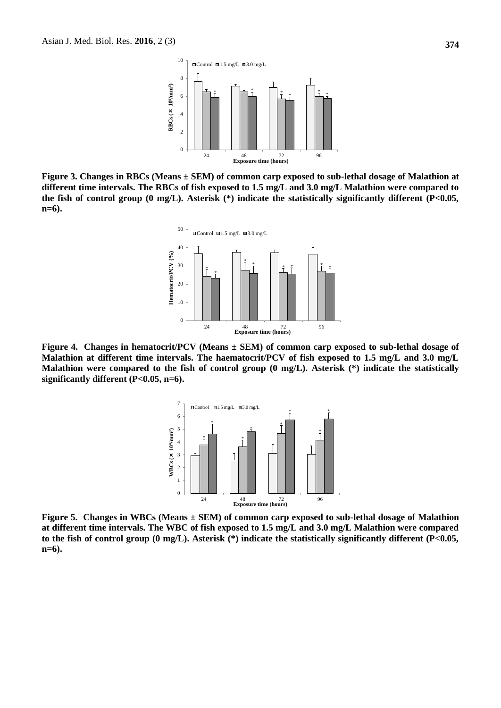

**Figure 3. Changes in RBCs (Means ± SEM) of common carp exposed to sub-lethal dosage of Malathion at different time intervals. The RBCs of fish exposed to 1.5 mg/L and 3.0 mg/L Malathion were compared to the fish of control group (0 mg/L). Asterisk (\*) indicate the statistically significantly different (P<0.05, n=6).**



**Figure 4. Changes in hematocrit/PCV (Means ± SEM) of common carp exposed to sub-lethal dosage of Malathion at different time intervals. The haematocrit/PCV of fish exposed to 1.5 mg/L and 3.0 mg/L Malathion were compared to the fish of control group (0 mg/L). Asterisk (\*) indicate the statistically significantly different (P<0.05, n=6).**



**Figure 5. Changes in WBCs (Means ± SEM) of common carp exposed to sub-lethal dosage of Malathion at different time intervals. The WBC of fish exposed to 1.5 mg/L and 3.0 mg/L Malathion were compared to the fish of control group (0 mg/L). Asterisk (\*) indicate the statistically significantly different (P<0.05, n=6).**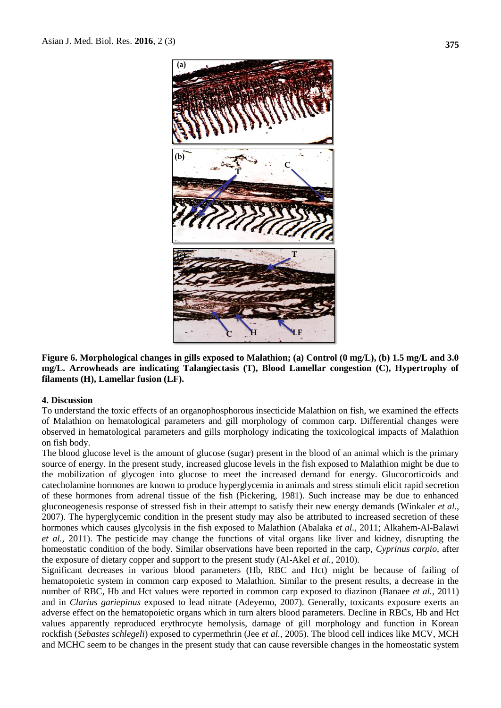

**Figure 6. Morphological changes in gills exposed to Malathion; (a) Control (0 mg/L), (b) 1.5 mg/L and 3.0 mg/L. Arrowheads are indicating Talangiectasis (T), Blood Lamellar congestion (C), Hypertrophy of filaments (H), Lamellar fusion (LF).**

#### **4. Discussion**

To understand the toxic effects of an organophosphorous insecticide Malathion on fish, we examined the effects of Malathion on hematological parameters and gill morphology of common carp. Differential changes were observed in hematological parameters and gills morphology indicating the toxicological impacts of Malathion on fish body.

The blood glucose level is the amount of glucose (sugar) present in the blood of an animal which is the primary source of energy. In the present study, increased glucose levels in the fish exposed to Malathion might be due to the mobilization of glycogen into glucose to meet the increased demand for energy. Glucocorticoids and catecholamine hormones are known to produce hyperglycemia in animals and stress stimuli elicit rapid secretion of these hormones from adrenal tissue of the fish (Pickering, 1981). Such increase may be due to enhanced gluconeogenesis response of stressed fish in their attempt to satisfy their new energy demands (Winkaler *et al.,* 2007). The hyperglycemic condition in the present study may also be attributed to increased secretion of these hormones which causes glycolysis in the fish exposed to Malathion (Abalaka *et al.,* 2011; Alkahem-Al-Balawi *et al.,* 2011). The pesticide may change the functions of vital organs like liver and kidney, disrupting the homeostatic condition of the body. Similar observations have been reported in the carp, *Cyprinus carpio*, after the exposure of dietary copper and support to the present study (Al-Akel *et al.,* 2010).

Significant decreases in various blood parameters (Hb, RBC and Hct) might be because of failing of hematopoietic system in common carp exposed to Malathion. Similar to the present results, a decrease in the number of RBC, Hb and Hct values were reported in common carp exposed to diazinon (Banaee *et al.,* 2011) and in *Clarius gariepinus* exposed to lead nitrate (Adeyemo, 2007). Generally, toxicants exposure exerts an adverse effect on the hematopoietic organs which in turn alters blood parameters. Decline in RBCs, Hb and Hct values apparently reproduced erythrocyte hemolysis, damage of gill morphology and function in Korean rockfish (*Sebastes schlegeli*) exposed to cypermethrin (Jee *et al.,* 2005). The blood cell indices like MCV, MCH and MCHC seem to be changes in the present study that can cause reversible changes in the homeostatic system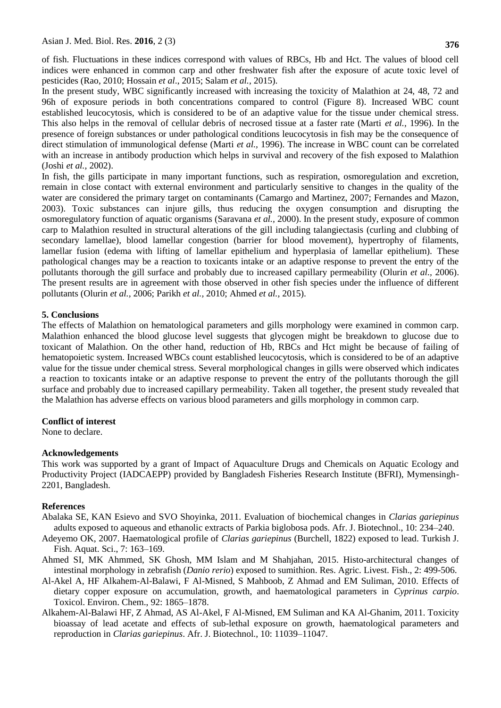of fish. Fluctuations in these indices correspond with values of RBCs, Hb and Hct. The values of blood cell indices were enhanced in common carp and other freshwater fish after the exposure of acute toxic level of pesticides (Rao, 2010; Hossain *et al*., 2015; Salam *et al.,* 2015).

In the present study, WBC significantly increased with increasing the toxicity of Malathion at 24, 48, 72 and 96h of exposure periods in both concentrations compared to control (Figure 8). Increased WBC count established leucocytosis, which is considered to be of an adaptive value for the tissue under chemical stress. This also helps in the removal of cellular debris of necrosed tissue at a faster rate (Marti *et al.,* 1996). In the presence of foreign substances or under pathological conditions leucocytosis in fish may be the consequence of direct stimulation of immunological defense (Marti *et al.,* 1996). The increase in WBC count can be correlated with an increase in antibody production which helps in survival and recovery of the fish exposed to Malathion (Joshi *et al.,* 2002).

In fish, the gills participate in many important functions, such as respiration, osmoregulation and excretion, remain in close contact with external environment and particularly sensitive to changes in the quality of the water are considered the primary target on contaminants (Camargo and Martinez, 2007; Fernandes and Mazon, 2003). Toxic substances can injure gills, thus reducing the oxygen consumption and disrupting the osmoregulatory function of aquatic organisms (Saravana *et al.,* 2000). In the present study, exposure of common carp to Malathion resulted in structural alterations of the gill including talangiectasis (curling and clubbing of secondary lamellae), blood lamellar congestion (barrier for blood movement), hypertrophy of filaments, lamellar fusion (edema with lifting of lamellar epithelium and hyperplasia of lamellar epithelium). These pathological changes may be a reaction to toxicants intake or an adaptive response to prevent the entry of the pollutants thorough the gill surface and probably due to increased capillary permeability (Olurin *et al.,* 2006). The present results are in agreement with those observed in other fish species under the influence of different pollutants (Olurin *et al.,* 2006; Parikh *et al.,* 2010; Ahmed *et al.,* 2015).

#### **5. Conclusions**

The effects of Malathion on hematological parameters and gills morphology were examined in common carp. Malathion enhanced the blood glucose level suggests that glycogen might be breakdown to glucose due to toxicant of Malathion. On the other hand, reduction of Hb, RBCs and Hct might be because of failing of hematopoietic system. Increased WBCs count established leucocytosis, which is considered to be of an adaptive value for the tissue under chemical stress. Several morphological changes in gills were observed which indicates a reaction to toxicants intake or an adaptive response to prevent the entry of the pollutants thorough the gill surface and probably due to increased capillary permeability. Taken all together, the present study revealed that the Malathion has adverse effects on various blood parameters and gills morphology in common carp.

#### **Conflict of interest**

None to declare.

#### **Acknowledgements**

This work was supported by a grant of Impact of Aquaculture Drugs and Chemicals on Aquatic Ecology and Productivity Project (IADCAEPP) provided by Bangladesh Fisheries Research Institute (BFRI), Mymensingh-2201, Bangladesh.

#### **References**

- Abalaka SE, KAN Esievo and SVO Shoyinka, 2011. Evaluation of biochemical changes in *Clarias gariepinus* adults exposed to aqueous and ethanolic extracts of Parkia biglobosa pods. Afr. J. Biotechnol., 10: 234–240.
- Adeyemo OK, 2007. Haematological profile of *Clarias gariepinus* (Burchell, 1822) exposed to lead. Turkish J. Fish. Aquat. Sci., 7: 163–169.
- Ahmed SI, MK Ahmmed, SK Ghosh, MM Islam and M Shahjahan, 2015. [Histo-architectural changes of](https://scholar.google.co.jp/scholar?oi=bibs&cluster=3033096463347775906&btnI=1&hl=en)  [intestinal morphology in zebrafish \(](https://scholar.google.co.jp/scholar?oi=bibs&cluster=3033096463347775906&btnI=1&hl=en)*Danio rerio*) exposed to sumithion. Res. Agric. Livest. Fish., 2: 499-506.
- Al-Akel A, HF Alkahem-Al-Balawi, F Al-Misned, S Mahboob, Z Ahmad and EM Suliman, 2010. Effects of dietary copper exposure on accumulation, growth, and haematological parameters in *Cyprinus carpio*. Toxicol. Environ. Chem., 92: 1865–1878.
- Alkahem-Al-Balawi HF, Z Ahmad, AS Al-Akel, F Al-Misned, EM Suliman and KA Al-Ghanim, 2011. Toxicity bioassay of lead acetate and effects of sub-lethal exposure on growth, haematological parameters and reproduction in *Clarias gariepinus*. Afr. J. Biotechnol., 10: 11039–11047.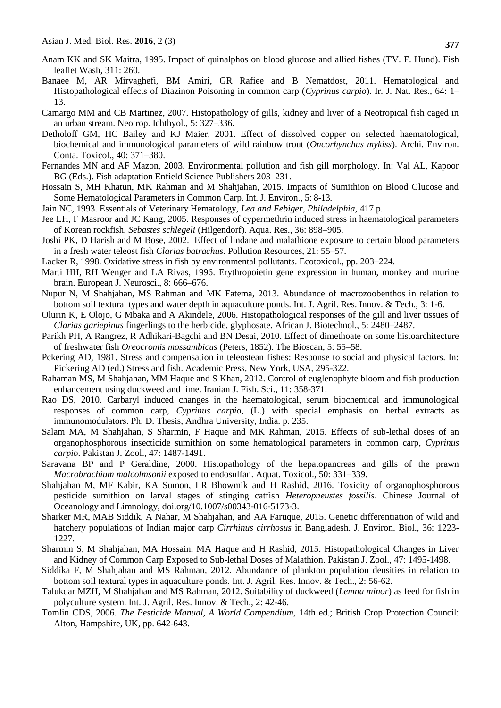- Anam KK and SK Maitra, 1995. Impact of quinalphos on blood glucose and allied fishes (TV. F. Hund). Fish leaflet Wash, 311: 260.
- Banaee M, AR Mirvaghefi, BM Amiri, GR Rafiee and B Nematdost, 2011. Hematological and Histopathological effects of Diazinon Poisoning in common carp (*Cyprinus carpio*). Ir. J. Nat. Res., 64: 1– 13.
- Camargo MM and CB Martinez, 2007. Histopathology of gills, kidney and liver of a Neotropical fish caged in an urban stream. Neotrop. Ichthyol., 5: 327–336.
- Detholoff GM, HC Bailey and KJ Maier, 2001. Effect of dissolved copper on selected haematological, biochemical and immunological parameters of wild rainbow trout (*Oncorhynchus mykiss*). Archi. Environ. Conta. Toxicol., 40: 371–380.
- Fernandes MN and AF Mazon, 2003. Environmental pollution and fish gill morphology. In: Val AL, Kapoor BG (Eds.). Fish adaptation Enfield Science Publishers 203–231.
- Hossain S, MH Khatun, MK Rahman and M Shahjahan, 2015. Impacts of Sumithion on Blood Glucose and Some Hematological Parameters in Common Carp. Int. J. Environ., 5: 8-13.
- Jain NC, 1993. Essentials of Veterinary Hematology, *Lea and Febiger, Philadelphia,* 417 p.
- Jee LH, F Masroor and JC Kang, 2005. Responses of cypermethrin induced stress in haematological parameters of Korean rockfish, *Sebastes schlegeli* (Hilgendorf). Aqua. Res., 36: 898–905.
- Joshi PK, D Harish and M Bose, 2002. Effect of lindane and malathione exposure to certain blood parameters in a fresh water teleost fish *Clarias batrachus*. Pollution Resources, 21: 55–57.
- Lacker R, 1998. Oxidative stress in fish by environmental pollutants. Ecotoxicol., pp. 203–224.
- Marti HH, RH Wenger and LA Rivas, 1996. Erythropoietin gene expression in human, monkey and murine brain. European J. Neurosci., 8: 666–676.
- Nupur N, M Shahjahan, MS Rahman and MK Fatema, 2013. Abundance of macrozoobenthos in relation to bottom soil textural types and water depth in aquaculture ponds. Int. J. Agril. Res. Innov. & Tech., 3: 1-6.
- Olurin K, E Olojo, G Mbaka and A Akindele, 2006. Histopathological responses of the gill and liver tissues of *Clarias gariepinus* fingerlings to the herbicide, glyphosate. African J. Biotechnol., 5: 2480–2487.
- Parikh PH, A Rangrez, R Adhikari-Bagchi and BN Desai, 2010. Effect of dimethoate on some histoarchitecture of freshwater fish *Oreocromis mossambicus* (Peters, 1852). The Bioscan, 5: 55–58.
- Pckering AD, 1981. Stress and compensation in teleostean fishes: Response to social and physical factors. In: Pickering AD (ed.) Stress and fish. Academic Press, New York, USA, 295-322.
- Rahaman MS, M Shahjahan, MM Haque and S Khan, 2012. Control of euglenophyte bloom and fish production enhancement using duckweed and lime. Iranian J. Fish. Sci., 11: 358-371.
- Rao DS, 2010. Carbaryl induced changes in the haematological, serum biochemical and immunological responses of common carp, *Cyprinus carpio*, (L.) with special emphasis on herbal extracts as immunomodulators. Ph. D. Thesis, Andhra University, India. p. 235.
- Salam MA, M Shahjahan, S Sharmin, F Haque and MK Rahman, 2015. Effects of sub-lethal doses of an organophosphorous insecticide sumithion on some hematological parameters in common carp, *Cyprinus carpio*. Pakistan J. Zool., 47: 1487-1491.
- Saravana BP and P Geraldine, 2000. Histopathology of the hepatopancreas and gills of the prawn *Macrobrachium malcolmsonii* exposed to endosulfan. Aquat. Toxicol., 50: 331–339.
- Shahjahan M, MF Kabir, KA Sumon, LR Bhowmik and H Rashid, 2016. Toxicity of organophosphorous pesticide sumithion on larval stages of stinging catfish *Heteropneustes fossilis*. Chinese Journal of Oceanology and Limnology, doi.org/10.1007/s00343-016-5173-3.
- Sharker MR, MAB Siddik, A Nahar, M Shahjahan, and AA Faruque, 2015. Genetic differentiation of wild and hatchery populations of Indian major carp *Cirrhinus cirrhosus* in Bangladesh. J. Environ. Biol., 36: 1223- 1227.
- Sharmin S, M Shahjahan, MA Hossain, MA Haque and H Rashid, 2015. Histopathological Changes in Liver and Kidney of Common Carp Exposed to Sub-lethal Doses of Malathion. Pakistan J. Zool., 47: 1495-1498.
- Siddika F, M Shahjahan and MS Rahman, 2012. Abundance of plankton population densities in relation to bottom soil textural types in aquaculture ponds. Int. J. Agril. Res. Innov. & Tech., 2: 56-62.
- Talukdar MZH, M Shahjahan and MS Rahman, 2012. Suitability of duckweed (*Lemna minor*) as feed for fish in polyculture system. Int. J. Agril. Res. Innov. & Tech., 2: 42-46.
- Tomlin CDS, 2006. *The Pesticide Manual, A World Compendium*, 14th ed.; British Crop Protection Council: Alton, Hampshire, UK, pp. 642-643.